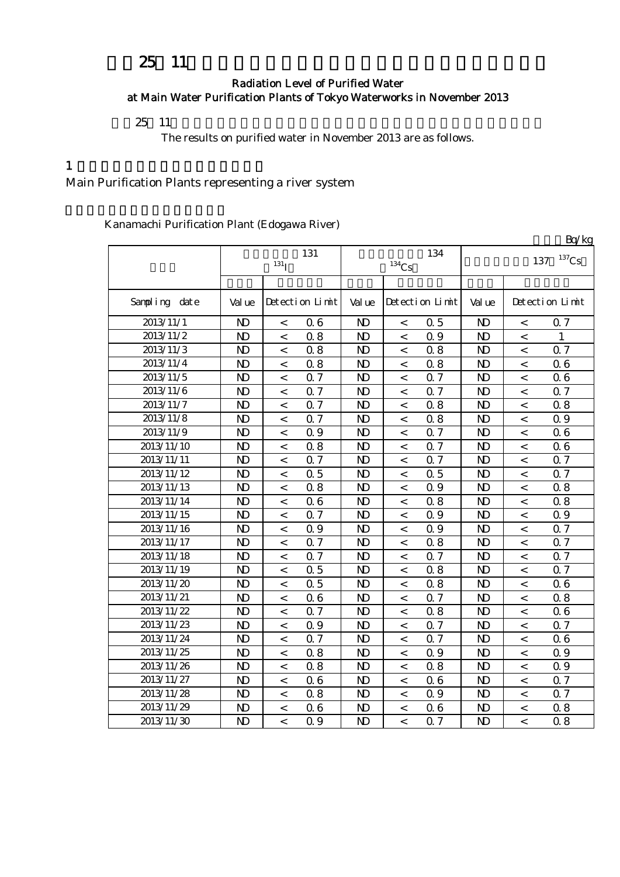# 25 11

### Radiation Level of Purified Water at Main Water Purification Plants of Tokyo Waterworks in November 2013

 $25 \t11$ 

The results on purified water in November 2013 are as follows.

#### $1$

### Main Purification Plants representing a river system

Kanamachi Purification Plant (Edogawa River)

|               |                |                          |                 |                |                          |                 |                            |                          | Bq/kg           |  |
|---------------|----------------|--------------------------|-----------------|----------------|--------------------------|-----------------|----------------------------|--------------------------|-----------------|--|
|               | 131            |                          |                 |                |                          | 134             | $^{137}\mathrm{Cs}$<br>137 |                          |                 |  |
|               |                | 131 <sub>I</sub>         |                 | $134$ Cs       |                          |                 |                            |                          |                 |  |
|               |                |                          |                 |                |                          |                 |                            |                          |                 |  |
| Sampling date | Val ue         |                          | Detection Limit | Val ue         |                          | Detection Limit | Val ue                     |                          | Detection Limit |  |
| 2013/11/1     | $\mathbf{N}$   | $\,<$                    | 06              | $\mathbf{N}$   | $\,<$                    | 0.5             | $\mathbf{N}$               | $\,<\,$                  | 0.7             |  |
| 2013/11/2     | $\mathbf{N}$   | $\,<$                    | 0.8             | $\mathbf{N}$   | $\,<$                    | 0.9             | $\mathbf{N}$               | $\,<\,$                  | 1               |  |
| 2013/11/3     | N <sub>D</sub> | $\,<\,$                  | 0.8             | $\mathbf{N}$   | $\,<\,$                  | 08              | $\mathbf{N}$               | $\,<\,$                  | 0.7             |  |
| 2013/11/4     | $\mathbf{N}$   | $\,<\,$                  | 0.8             | $\mathbf{D}$   | $\lt$                    | 0.8             | $\mathbf{D}$               | $\,<\,$                  | 06              |  |
| 2013/11/5     | N <sub>D</sub> | $\,<\,$                  | 0.7             | $\mathbf{D}$   | $\lt$                    | 0.7             | $\mathbf{D}$               | $\,<\,$                  | 06              |  |
| 2013/11/6     | $\mathbf{D}$   | $\,<\,$                  | 0.7             | N <sub>D</sub> | $\,<\,$                  | 0.7             | N <sub>D</sub>             | $\,<\,$                  | 0.7             |  |
| 2013/11/7     | $\mathbf{N}$   | $\,<$                    | 0.7             | $\mathbf{D}$   | $\,<$                    | 0.8             | $\mathbf{N}$               | $\,<$                    | 0.8             |  |
| 2013/11/8     | $\mathbf{D}$   | $\,<$                    | 0.7             | $\mathbf{D}$   | $\,<$                    | 08              | $\mathbf{D}$               | $\lt$                    | 0.9             |  |
| 2013/11/9     | N <sub>D</sub> | $\,<\,$                  | 0.9             | $\mathbf{D}$   | $\,<$                    | 0.7             | $\mathbf{D}$               | $\,<\,$                  | 06              |  |
| 2013/11/10    | N <sub>D</sub> | $\overline{\phantom{a}}$ | 0.8             | $\mathbf{N}$   | $\overline{\phantom{a}}$ | 0.7             | $\mathbf{D}$               | $\,<\,$                  | 06              |  |
| 2013/11/11    | $\mathbf{D}$   | $\,<$                    | Q 7             | $\mathbf{N}$   | $\lt$                    | Q 7             | $\mathbf{N}$               | $\,<\,$                  | Q <sub>7</sub>  |  |
| 2013/11/12    | N <sub>D</sub> | $\,<$                    | 0.5             | $\mathbf{N}$   | $\,<$                    | 0.5             | $\mathbf{N}$               | $\,<\,$                  | Q 7             |  |
| 2013/11/13    | N <sub>D</sub> | $\,<$                    | 0.8             | $\mathbf{N}$   | $\overline{\phantom{a}}$ | 0.9             | $\mathbf{N}$               | $\,<\,$                  | 0.8             |  |
| 2013/11/14    | $\mathbf{N}$   | $\,<\,$                  | 0.6             | $\mathbf{D}$   | $\,<$                    | 0.8             | $\mathbf{D}$               | $\,<\,$                  | 0.8             |  |
| 2013/11/15    | N <sub>D</sub> | $\,<\,$                  | 0.7             | $\mathbf{D}$   | $\overline{a}$           | 0.9             | $\mathbf{D}$               | $\overline{\phantom{0}}$ | 0.9             |  |
| 2013/11/16    | $\mathbf{N}$   | $\lt$                    | Q 9             | $\mathbf{D}$   | $\overline{\phantom{a}}$ | 0.9             | $\mathbf{D}$               | $\overline{\phantom{a}}$ | Q 7             |  |
| 2013/11/17    | $\mathbf{N}$   | $\lt$                    | 0.7             | $\mathbf{D}$   | $\lt$                    | 08              | $\mathbf{D}$               | $\,<\,$                  | 0.7             |  |
| 2013/11/18    | N <sub>D</sub> | $\,<$                    | 0.7             | $\mathbf{D}$   | $\,<\,$                  | 0.7             | $\mathbf{D}$               | $\,<$                    | 0.7             |  |
| 2013/11/19    | $\mathbf{N}$   | $\,<\,$                  | 0.5             | N <sub>D</sub> | $\,<\,$                  | 08              | $\mathbf{D}$               | $\,<\,$                  | 0.7             |  |
| 2013/11/20    | N <sub>D</sub> | $\,<$                    | 0.5             | N <sub>D</sub> | $\,<$                    | 08              | N <sub>D</sub>             | $\,<$                    | 06              |  |
| 2013/11/21    | N <sub>D</sub> | $\,<\,$                  | 06              | N <sub>D</sub> | $\,<$                    | 0.7             | N <sub>D</sub>             | $\,<\,$                  | 08              |  |
| 2013/11/22    | N <sub>D</sub> | $\,<\,$                  | 0.7             | N <sub>D</sub> | $\,<\,$                  | 08              | $\mathbf{D}$               | $\,<\,$                  | 06              |  |
| 2013/11/23    | $\mathbf{D}$   | $\,<\,$                  | 0.9             | $\mathbf{N}$   | $\,<$                    | 0.7             | $\mathbf{N}$               | $\,<\,$                  | 0.7             |  |
| 2013/11/24    | $\mathbf{D}$   | $\,<\,$                  | 0.7             | $\mathbf{D}$   | $\,<$                    | 0.7             | $\mathbf{D}$               | $\,<\,$                  | 06              |  |
| 2013/11/25    | N <sub>D</sub> | $\,<$                    | 0.8             | $\mathbf{D}$   | $\,<$                    | 0.9             | $\mathbf{D}$               | $\,<\,$                  | 0.9             |  |
| 2013/11/26    | N <sub>D</sub> | $\,<$                    | 0.8             | $\mathbf{N}$   | $\,<$                    | 0.8             | $\mathbf{N}$               | $\,<\,$                  | 0.9             |  |
| 2013/11/27    | N <sub>D</sub> | $\,<\,$                  | 0.6             | $\mathbf{N}$   | $\,<$                    | 06              | $\mathbf{N}$               | $\overline{\phantom{a}}$ | 0.7             |  |
| 2013/11/28    | $\mathbf{N}$   | $\lt$                    | 0.8             | $\mathbf{D}$   | $\overline{\phantom{a}}$ | Q 9             | $\mathbf{N}$               | $\overline{\phantom{a}}$ | 0.7             |  |
| 2013/11/29    | N <sub>D</sub> | $\lt$                    | 06              | $\mathbf{D}$   | $\lt$                    | 06              | $\mathbf{N}$               | $\,<\,$                  | 0.8             |  |
| 2013/11/30    | $\mathbf{D}$   | $\lt$                    | Q 9             | $\mathbf{D}$   | $\overline{a}$           | 0.7             | $\mathbf{N}$               | $\overline{a}$           | 0.8             |  |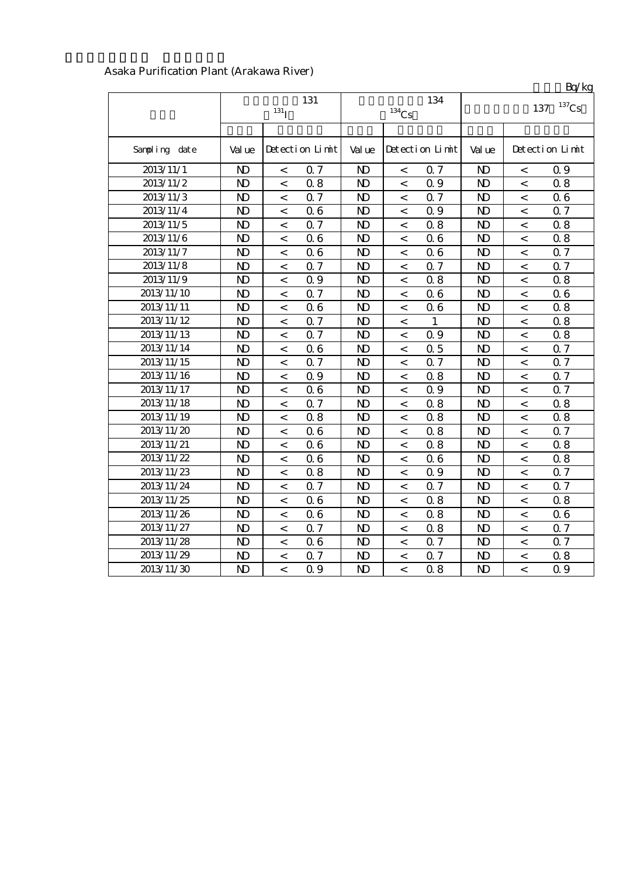|                        |                |                    |                 |                |                          |                 |                |                          | Bq/kg           |  |
|------------------------|----------------|--------------------|-----------------|----------------|--------------------------|-----------------|----------------|--------------------------|-----------------|--|
|                        |                | 131                |                 |                | 134                      | $137$ Cs<br>137 |                |                          |                 |  |
|                        |                | $131$ <sub>I</sub> |                 |                | $^{134}\mathrm{Cs}$      |                 |                |                          |                 |  |
|                        |                |                    |                 |                |                          |                 |                |                          |                 |  |
| Sampling date          | Val ue         |                    | Detection Limit | Val ue         |                          | Detection Limit | Val ue         |                          | Detection Limit |  |
| 2013/11/1              | N <sub>D</sub> | $\,<$              | 0.7             | N <sub>D</sub> | $\,<\,$                  | 0.7             | N <sub>D</sub> | $\,<\,$                  | 0.9             |  |
| 2013/11/2              | $\mathbf{N}$   | $\,<$              | 0.8             | $\mathbf{N}$   | $\,<$                    | 0.9             | $\mathbf{D}$   | $\,<$                    | 0.8             |  |
| 2013/11/3              | $\mathbf{D}$   | $\,<$              | 0.7             | $\mathbf{N}$   | $\,<$                    | 0.7             | N <sub>D</sub> | $\,<$                    | 06              |  |
| 2013/11/4              | N <sub>D</sub> | $\,<$              | 06              | $\mathbf{N}$   | $\,<\,$                  | 0.9             | N <sub>D</sub> | $\,<\,$                  | 0.7             |  |
| $2013/11/\overline{5}$ | $\mathbf{D}$   | $\prec$            | 0.7             | $\mathbf{N}$   | $\,<\,$                  | 0.8             | N <sub>D</sub> | $\,<$                    | 0.8             |  |
| 2013/11/6              | $\mathbf{D}$   | $\,<\,$            | 0.6             | $\mathbf{D}$   | $\,<\,$                  | 06              | $\mathbf{D}$   | $\,<\,$                  | 0.8             |  |
| 2013/11/7              | $\mathbf{D}$   | $\,<$              | 06              | $\mathbf{D}$   | $\,<\,$                  | 06              | $\mathbf{D}$   | $\,<$                    | 0.7             |  |
| 2013/11/8              | $\mathbf{N}$   | $\,<$              | 0.7             | $\mathbf{N}$   | $\,<$                    | 0.7             | $\mathbf{D}$   | $\,<$                    | 0.7             |  |
| 2013/11/9              | $\mathbf{N}$   | $\,<$              | Q 9             | $\mathbf{N}$   | $\,<$                    | 0.8             | N <sub>D</sub> | $\,<\,$                  | 0.8             |  |
| 2013/11/10             | $\mathbf{N}$   | $\,<$              | 0.7             | $\mathbf{N}$   | $\lt$                    | 06              | $\mathbf{D}$   | $\,<$                    | 06              |  |
| 2013/11/11             | $\mathbf{N}$   | $\,<$              | 06              | $\mathbf{N}$   | $\lt$                    | 06              | N <sub>D</sub> | $\,<\,$                  | 0.8             |  |
| 2013/11/12             | $\mathbf{D}$   | $\,<$              | 0.7             | $\mathbf{N}$   | $\,<$                    | $\mathbf{1}$    | N <sub>D</sub> | $\,<$                    | 0.8             |  |
| 2013/11/13             | $\mathbf{D}$   | $\,<$              | 0.7             | $\mathbf{N}$   | $\,<$                    | 0.9             | N <sub>D</sub> | $\,<$                    | 0.8             |  |
| 2013/11/14             | $\mathbf{N}$   | $\,<$              | 06              | $\mathbf{N}$   | $\,<$                    | 0.5             | N <sub>D</sub> | $\,<$                    | 0.7             |  |
| 2013/11/15             | $\mathbf{N}$   | $\,<$              | 0.7             | $\mathbf{N}$   | $\,<$                    | 0.7             | N <sub>D</sub> | $\,<$                    | 0.7             |  |
| 2013/11/16             | N <sub>D</sub> | $\,<$              | Q 9             | $\mathbf{N}$   | $\overline{\phantom{a}}$ | 0.8             | N <sub>D</sub> | $\,<$                    | Q 7             |  |
| 2013/11/17             | $\mathbf{N}$   | $\lt$              | 06              | $\mathbf{D}$   | $\,<$                    | 0.9             | $\mathbf{D}$   | $\,<$                    | Q <sub>7</sub>  |  |
| 2013/11/18             | $\mathbf{D}$   | $\lt$              | 0.7             | $\mathbf{N}$   | $\lt$                    | 08              | $\mathbf{D}$   | $\,<$                    | 0.8             |  |
| 2013/11/19             | N <sub>D</sub> | $\,<\,$            | 0.8             | $\mathbf{D}$   | $\,<\,$                  | 08              | $\mathbf{D}$   | $\,<$                    | 0.8             |  |
| 2013/11/20             | N <sub>D</sub> | $\,<\,$            | 06              | $\mathbf{D}$   | $\,<\,$                  | 08              | $\mathbf{D}$   | $\,<$                    | 0.7             |  |
| 2013/11/21             | N <sub>D</sub> | $\,<$              | 06              | N <sub>D</sub> | $\,<$                    | 08              | $\mathbf{D}$   | $\,<\,$                  | 0.8             |  |
| 2013/11/22             | N <sub>D</sub> | $\,<$              | 06              | N <sub>D</sub> | $\,<\,$                  | 06              | $\mathbf{D}$   | $\,<\,$                  | 0.8             |  |
| 2013/11/23             | N <sub>D</sub> | $\,<\,$            | 0.8             | $\mathbf{D}$   | $\,<\,$                  | 0.9             | N <sub>D</sub> | $\,<\,$                  | 0.7             |  |
| 2013/11/24             | $\mathbf{D}$   | $\,<$              | 0.7             | $\mathbf{N}$   | $\,<\,$                  | 0.7             | $\mathbf{D}$   | $\,<$                    | Q 7             |  |
| 2013/11/25             | $\mathbf{D}$   | $\,<$              | 06              | $\mathbf{D}$   | $\,<$                    | 0.8             | $\mathbf{D}$   | $\,<$                    | 0.8             |  |
| 2013/11/26             | $\mathbf{D}$   | $\,<$              | 0.6             | $\mathbf{D}$   | $\,<$                    | 0.8             | N <sub>D</sub> | $\,<$                    | 06              |  |
| 2013/11/27             | $\overline{D}$ | $\prec$            | 0.7             | $\mathbf{D}$   | $\lt$                    | 0.8             | $\mathbf{D}$   | $\lt$                    | Q 7             |  |
| 2013/11/28             | N <sub>D</sub> | $\,<\,$            | 06              | $\mathbf{D}$   | $\overline{\phantom{a}}$ | 0.7             | $\mathbf{D}$   | $\overline{\phantom{a}}$ | Q 7             |  |
| 2013/11/29             | $\mathbf{D}$   | $\lt$              | 0.7             | $\mathbf{D}$   | $\lt$                    | Q <sub>7</sub>  | N <sub>D</sub> | $\,<\,$                  | 0.8             |  |
| 2013/11/30             | $\mathbf{D}$   | $\lt$              | Q 9             | $\mathbf{D}$   | $\lt$                    | 0.8             | $\mathbf{D}$   | $\,<$                    | Q 9             |  |

#### Asaka Purification Plant (Arakawa River)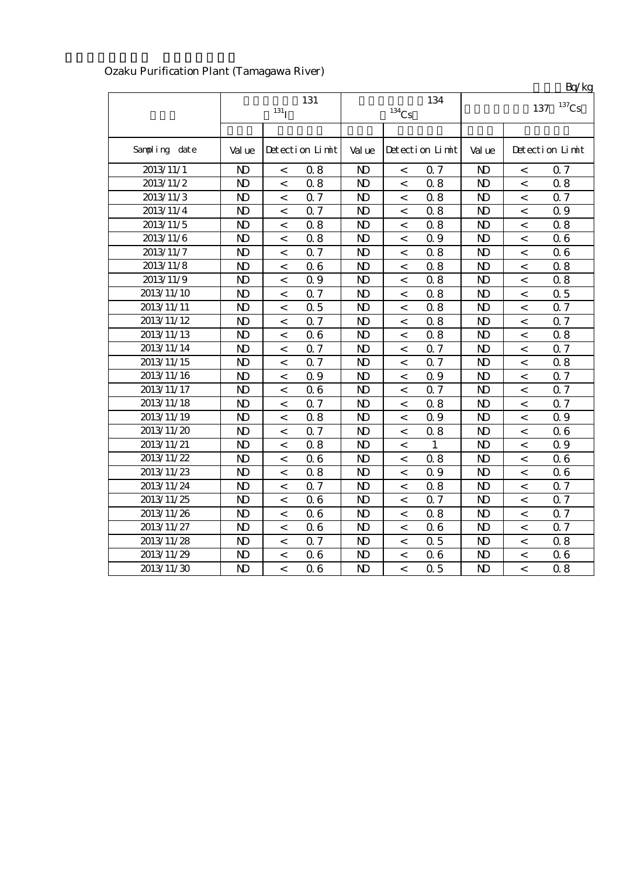|               |                         |                          |                 |                |                          |                 |                            |                          | Bq/kg           |  |
|---------------|-------------------------|--------------------------|-----------------|----------------|--------------------------|-----------------|----------------------------|--------------------------|-----------------|--|
|               | 131<br>131 <sub>I</sub> |                          |                 |                | $^{134}\mathrm{Cs}$      | 134             | $^{137}\mathrm{Cs}$<br>137 |                          |                 |  |
|               |                         |                          |                 |                |                          |                 |                            |                          |                 |  |
| Sampling date | Val ue                  |                          | Detection Limit | Val ue         |                          | Detection Limit | Val ue                     |                          | Detection Limit |  |
| 2013/11/1     | $\mathbf{D}$            | $\lt$                    | 0.8             | $\mathbf{D}$   | $\overline{\phantom{a}}$ | 0.7             | N <sub>D</sub>             | $\lt$                    | 0.7             |  |
| 2013/11/2     | $\mathbf{D}$            | $\,<\,$                  | 0.8             | $\mathbf{N}$   | $\,<\,$                  | 0.8             | $\mathbf{D}$               | $\,<\,$                  | 0.8             |  |
| 2013/11/3     | $\mathbf{D}$            | $\,<\,$                  | 0.7             | $\mathbf{D}$   | $\,<\,$                  | 0.8             | $\mathbf{D}$               | $\,<\,$                  | 0.7             |  |
| 2013/11/4     | $\mathbf{D}$            | $\,<\,$                  | 0.7             | $\mathbf{D}$   | $\,<\,$                  | 0.8             | $\mathbf{D}$               | $\,<$                    | 0.9             |  |
| 2013/11/5     | $\mathbf{D}$            | $\,<\,$                  | 0.8             | $\mathbf{D}$   | $\,<\,$                  | 0.8             | $\mathbf{D}$               | $\,<$                    | 0.8             |  |
| 2013/11/6     | $\mathbf{D}$            | $\,<$                    | 0.8             | N <sub>D</sub> | $\,<\,$                  | 0.9             | $\mathbf{D}$               | $\,<\,$                  | 06              |  |
| 2013/11/7     | $\mathbf{D}$            | $\,<\,$                  | 0.7             | $\mathbf{D}$   | $\,<\,$                  | 08              | $\mathbf{D}$               | $\,<\,$                  | 06              |  |
| 2013/11/8     | $\mathbf{D}$            | $\lt$                    | 06              | $\mathbf{D}$   | $\overline{\phantom{a}}$ | 0.8             | $\mathbf{D}$               | $\,<\,$                  | 0.8             |  |
| 2013/11/9     | $\mathbf{D}$            | $\overline{\phantom{a}}$ | 0.9             | $\mathbf{D}$   | $\,<\,$                  | 0.8             | N <sub>D</sub>             | $\,<\,$                  | 0.8             |  |
| 2013/11/10    | $\mathbf{D}$            | $\,<\,$                  | 0.7             | $\mathbf{D}$   | $\,<\,$                  | 0.8             | $\mathbf{D}$               | $\,<$                    | 0.5             |  |
| 2013/11/11    | $\mathbf{D}$            | $\,<\,$                  | 0.5             | $\mathbf{D}$   | $\lt$                    | 0.8             | $\mathbf{N}$               | $\,<\,$                  | 0.7             |  |
| 2013/11/12    | $\mathbf{D}$            | $\,<\,$                  | 0.7             | $\mathbf{D}$   | $\,<\,$                  | 0.8             | $\mathbf{D}$               | $\,<\,$                  | 0.7             |  |
| 2013/11/13    | $\mathbf{D}$            | $\,<\,$                  | 0.6             | $\mathbf{D}$   | $\overline{\phantom{a}}$ | 0.8             | $\mathbf{D}$               | $\,<$                    | 0.8             |  |
| 2013/11/14    | $\mathbf{D}$            | $\lt$                    | 0.7             | $\mathbf{D}$   | $\overline{\phantom{a}}$ | 0.7             | N <sub>D</sub>             | $\,<\,$                  | 0.7             |  |
| 2013/11/15    | N <sub>D</sub>          | $\lt$                    | 0.7             | $\mathbf{D}$   | $\overline{\phantom{a}}$ | Q 7             | $\mathbf{D}$               | $\,<\,$                  | 0.8             |  |
| 2013/11/16    | $\mathbf{D}$            | $\lt$                    | Q 9             | $\mathbf{N}$   | $\overline{\phantom{a}}$ | 0.9             | $\mathbf{D}$               | $\,<$                    | $0.7\,$         |  |
| 2013/11/17    | $\mathbf{D}$            | $\,<\,$                  | 0.6             | $\mathbf{N}$   | $\,<\,$                  | 0.7             | $\mathbf{N}$               | $\,<\,$                  | 0.7             |  |
| 2013/11/18    | $\mathbf{D}$            | $\,<\,$                  | 0.7             | $\mathbf{N}$   | $\,<\,$                  | 0.8             | $\mathbf{N}$               | $\,<$                    | 0.7             |  |
| 2013/11/19    | $\mathbf{D}$            | $\,<\,$                  | 0.8             | $\mathbf{N}$   | $\lt$                    | 0.9             | $\mathbf{N}$               | $\,<$                    | 0.9             |  |
| 2013/11/20    | $\mathbf{D}$            | $\,<\,$                  | 0.7             | $\mathbf{N}$   | $\lt$                    | 08              | $\mathbf{N}$               | $\,<\,$                  | 06              |  |
| 2013/11/21    | $\mathbf{D}$            | $\lt$                    | 0.8             | $\mathbf{N}$   | $\overline{\phantom{a}}$ | 1               | $\mathbf{N}$               | $\,<\,$                  | 0.9             |  |
| 2013/11/22    | $\mathbf{D}$            | $\,<\,$                  | 06              | $\mathbf{N}$   | $\overline{\phantom{a}}$ | 08              | $\mathbf{D}$               | $\overline{\phantom{a}}$ | 06              |  |
| 2013/11/23    | $\mathbf{D}$            | $\,<\,$                  | 0.8             | $\mathbf{N}$   | $\,<\,$                  | 0.9             | $\mathbf{D}$               | $\,<$                    | 06              |  |
| 2013/11/24    | $\mathbf{D}$            | $\,<\,$                  | Q 7             | $\mathbf{N}$   | $\,<\,$                  | 08              | $\mathbf{D}$               | $\,<$                    | 0.7             |  |
| 2013/11/25    | $\mathbf{D}$            | $\,<\,$                  | 06              | $\mathbf{N}$   | $\overline{\phantom{a}}$ | 0.7             | $\mathbf{D}$               | $\,<\,$                  | 0.7             |  |
| 2013/11/26    | $\mathbf{D}$            | $\,<\,$                  | 06              | $\mathbf{N}$   | $\overline{\phantom{0}}$ | 0.8             | $\mathbf{D}$               | $\,<\,$                  | 0.7             |  |
| 2013/11/27    | $\mathbf{D}$            | $\lt$                    | 06              | $\mathbf{D}$   | $\overline{\phantom{a}}$ | 06              | $\mathbf{D}$               | $\overline{\phantom{a}}$ | Q 7             |  |
| 2013/11/28    | $\mathbf{D}$            | $\lt$                    | 0.7             | $\mathbf{D}$   | $\lt$                    | 0.5             | $\mathbf{D}$               | $\,<\,$                  | 0.8             |  |
| 2013/11/29    | $\mathbf{D}$            | $\,<\,$                  | 06              | $\mathbf{D}$   | $\lt$                    | 06              | $\mathbf{D}$               | $\,<\,$                  | 06              |  |
| 2013/11/30    | $\mathbf{D}$            | $\lt$                    | 06              | $\mathbf{D}$   | $\overline{a}$           | Q <sub>5</sub>  | $\mathbf{D}$               | $\,<$                    | 0.8             |  |

## Ozaku Purification Plant (Tamagawa River)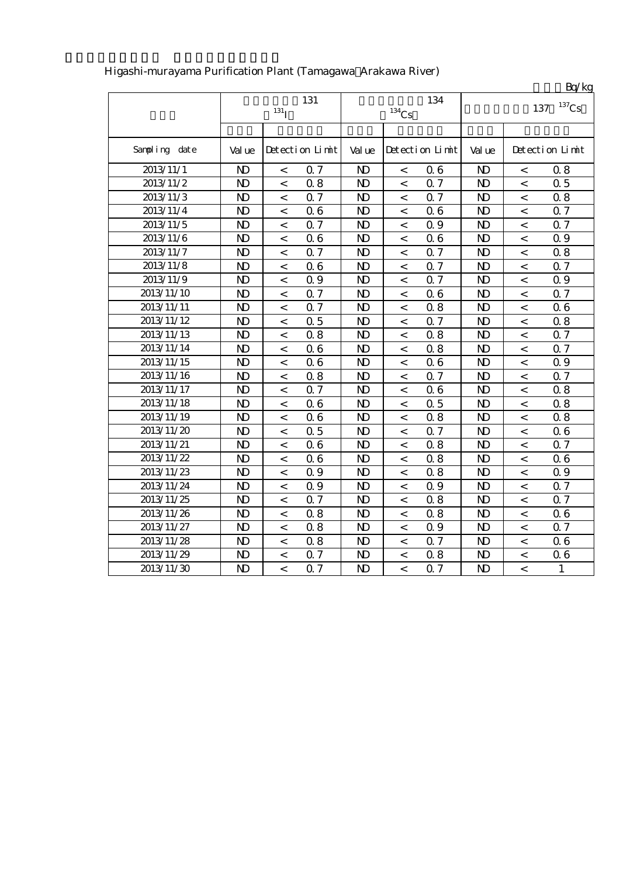|               |                |                          |                 |                |                          |                 |              |                          | Bq/gg           |  |
|---------------|----------------|--------------------------|-----------------|----------------|--------------------------|-----------------|--------------|--------------------------|-----------------|--|
|               |                | 131                      |                 |                | 134                      | $137$ Cs<br>137 |              |                          |                 |  |
|               |                | $131$ <sub>I</sub>       |                 |                | $^{134}\mathrm{Cs}$      |                 |              |                          |                 |  |
|               |                |                          |                 |                |                          |                 |              |                          |                 |  |
| Sampling date | Val ue         |                          | Detection Limit | Val ue         |                          | Detection Limit | Val ue       |                          | Detection Limit |  |
| 2013/11/1     | $\mathbf{N}$   | $\,<\,$                  | 0.7             | $\mathbf{N}$   | $\,<\,$                  | 06              | $\mathbf{D}$ | $\,<\,$                  | 0.8             |  |
| 2013/11/2     | $\mathbf{D}$   | $\overline{\phantom{a}}$ | 0.8             | $\mathbf{D}$   | $\,<$                    | Q <sub>7</sub>  | $\mathbf{D}$ | $\overline{\phantom{a}}$ | 0.5             |  |
| 2013/11/3     | N <sub>D</sub> | $\lt$                    | 0.7             | $\mathbf{D}$   | $\overline{\phantom{a}}$ | Q <sub>7</sub>  | $\mathbf{D}$ | $\overline{\phantom{a}}$ | 0.8             |  |
| 2013/11/4     | $\mathbf{N}$   | $\lt$                    | 0.6             | $\mathbf{D}$   | $\overline{\phantom{a}}$ | 06              | $\mathbf{D}$ | $\,<\,$                  | Q 7             |  |
| 2013/11/5     | N <sub>D</sub> | $\lt$                    | Q 7             | $\mathbf{N}$   | $\lt$                    | 0.9             | $\mathbf{D}$ | $\overline{\phantom{a}}$ | 0.7             |  |
| 2013/11/6     | $\mathbf{D}$   | $\,<\,$                  | 06              | $\mathbf{D}$   | $\,<$                    | 06              | $\mathbf{D}$ | $\lt$                    | 0.9             |  |
| 2013/11/7     | $\mathbf{N}$   | $\,<\,$                  | 0.7             | $\mathbf{N}$   | $\,<$                    | 0.7             | $\mathbf{N}$ | $\,<$                    | 0.8             |  |
| 2013/11/8     | N <sub>D</sub> | $\,<\,$                  | 06              | N <sub>D</sub> | $\,<$                    | 0.7             | $\mathbf{D}$ | $\,<$                    | 0.7             |  |
| 2013/11/9     | N <sub>D</sub> | $\,<\,$                  | 0.9             | $\mathbf{D}$   | $\,<$                    | 0.7             | $\mathbf{D}$ | $\,<$                    | 0.9             |  |
| 2013/11/10    | $\mathbf{D}$   | $\,<\,$                  | 0.7             | $\mathbf{D}$   | $\,<$                    | 06              | $\mathbf{D}$ | $\,<\,$                  | 0.7             |  |
| 2013/11/11    | $\mathbf{D}$   | $\,<\,$                  | 0.7             | $\mathbf{N}$   | $\lt$                    | 08              | $\mathbf{N}$ | $\,<$                    | 06              |  |
| 2013/11/12    | $\mathbf{D}$   | $\,<\,$                  | 0.5             | $\mathbf{N}$   | $\lt$                    | 0.7             | $\mathbf{N}$ | $\,<$                    | 0.8             |  |
| 2013/11/13    | $\mathbf{N}$   | $\,<\,$                  | 0.8             | $\mathbf{N}$   | $\overline{\phantom{a}}$ | 0.8             | $\mathbf{D}$ | $\,<$                    | 0.7             |  |
| 2013/11/14    | $\mathbf{N}$   | $\,<\,$                  | 06              | $\mathbf{N}$   | $\,<$                    | 0.8             | $\mathbf{D}$ | $\lt$                    | Q 7             |  |
| 2013/11/15    | $\mathbf{N}$   | $\,<\,$                  | 06              | $\mathbf{N}$   | $\,<$                    | 06              | $\mathbf{D}$ | $\lt$                    | 0.9             |  |
| 2013/11/16    | $\mathbf{N}$   | $\,<\,$                  | 0.8             | $\mathbf{N}$   | $\overline{\phantom{a}}$ | 0.7             | $\mathbf{N}$ | $\,<$                    | 0.7             |  |
| 2013/11/17    | $\mathbf{D}$   | $\lt$                    | 0.7             | $\mathbf{D}$   | $\lt$                    | 06              | $\mathbf{D}$ | $\,<\,$                  | 0.8             |  |
| 2013/11/18    | $\mathbf{D}$   | $\,<\,$                  | 06              | $\mathbf{D}$   | $\,<$                    | 0.5             | $\mathbf{D}$ | $\,<\,$                  | 0.8             |  |
| 2013/11/19    | $\mathbf{D}$   | $\,<\,$                  | 06              | $\mathbf{D}$   | $\,<$                    | 0.8             | $\mathbf{D}$ | $\,<\,$                  | 0.8             |  |
| 2013/11/20    | $\mathbf{D}$   | $\,<\,$                  | 0.5             | $\mathbf{D}$   | $\,<\,$                  | 0.7             | $\mathbf{D}$ | $\,<\,$                  | 06              |  |
| 2013/11/21    | $\mathbf{N}$   | $\,<\,$                  | 06              | $\mathbf{N}$   | $\lt$                    | 0.8             | $\mathbf{N}$ | $\,<\,$                  | 0.7             |  |
| 2013/11/22    | $\mathbf{N}$   | $\,<\,$                  | 06              | $\mathbf{N}$   | $\prec$                  | 08              | $\mathbf{N}$ | $\,<\,$                  | 06              |  |
| 2013/11/23    | $\mathbf{N}$   | $\,<\,$                  | 0.9             | $\mathbf{N}$   | $\,<$                    | 0.8             | $\mathbf{N}$ | $\,<$                    | 0.9             |  |
| 2013/11/24    | $\mathbf{D}$   | $\,<\,$                  | 0.9             | $\mathbf{D}$   | $\,<$                    | 0.9             | $\mathbf{D}$ | $\,<$                    | 0.7             |  |
| 2013/11/25    | N <sub>D</sub> | $\,<\,$                  | 0.7             | $\mathbf{D}$   | $\,<$                    | 08              | $\mathbf{D}$ | $\,<\,$                  | Q 7             |  |
| 2013/11/26    | N <sub>D</sub> | $\,<\,$                  | 0.8             | $\mathbf{N}$   | $\,<$                    | 0.8             | $\mathbf{D}$ | $\,<\,$                  | 06              |  |
| 2013/11/27    | $\mathbf{N}$   | $\,<\,$                  | 0.8             | $\mathbf{N}$   | $\,<$                    | 0.9             | $\mathbf{D}$ | $\,<\,$                  | 0.7             |  |
| 2013/11/28    | $\mathbf{N}$   | $\,<\,$                  | 0.8             | $\mathbf{N}$   | $\,<$                    | 0.7             | $\mathbf{N}$ | $\,<\,$                  | 06              |  |
| 2013/11/29    | $\mathbf{D}$   | $\lt$                    | Q 7             | $\overline{D}$ | $\lt$                    | 0.8             | $\mathbf{D}$ | $\,<\,$                  | 06              |  |
| 2013/11/30    | $\mathbf{D}$   | $\lt$                    | 0.7             | $\mathbf{D}$   | $\overline{a}$           | 0.7             | $\mathbf{D}$ | $\,<\,$                  | $\mathbf{1}$    |  |

## Higashi-murayama Purification Plant (Tamagawa Arakawa River)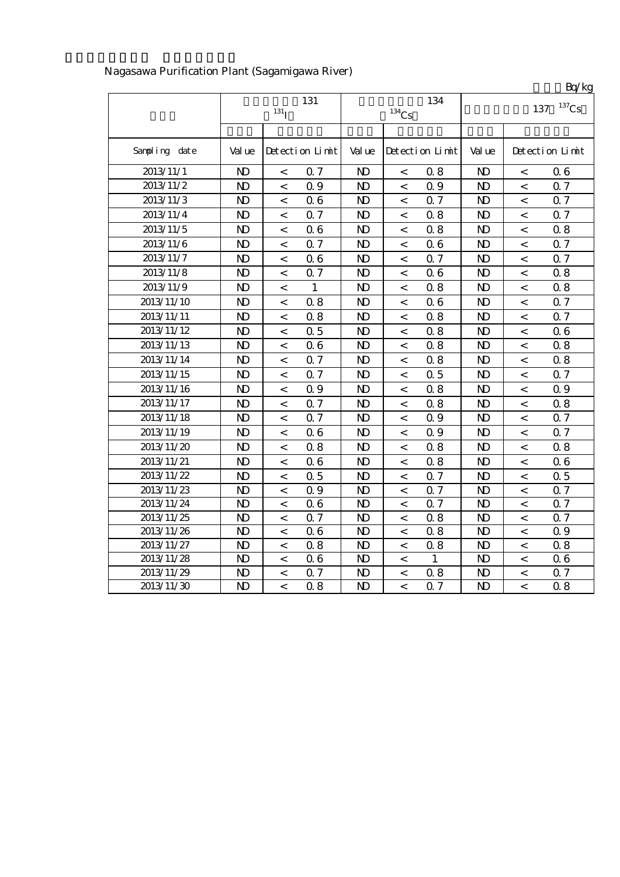|               |                |                          |                 |                     |                          |                 |                 |                          | Bq/kg           |
|---------------|----------------|--------------------------|-----------------|---------------------|--------------------------|-----------------|-----------------|--------------------------|-----------------|
|               |                |                          | 131             |                     |                          | 134             | $137$ Cs<br>137 |                          |                 |
|               |                | 131 <sub>I</sub>         |                 | $^{134}\mathrm{Cs}$ |                          |                 |                 |                          |                 |
|               |                |                          |                 |                     |                          |                 |                 |                          |                 |
| Sampling date | Val ue         |                          | Detection Limit | Val ue              |                          | Detection Limit | Val ue          |                          | Detection Limit |
| 2013/11/1     | N <sub>D</sub> | $\lt$                    | 0.7             | N <sub>D</sub>      | $\lt$                    | 08              | $\mathbf{D}$    | $\lt$                    | 06              |
| 2013/11/2     | $\mathbf{N}$   | $\,<$                    | 0.9             | $\mathbf{D}$        | $\,<$                    | 0.9             | $\mathbf{D}$    | $\,<$                    | 0.7             |
| 2013/11/3     | $\mathbf{N}$   | $\,<$                    | 06              | $\mathbf{D}$        | $\,<$                    | 0.7             | $\mathbf{D}$    | $\,<$                    | 0.7             |
| 2013/11/4     | $\mathbf{N}$   | $\,<$                    | 0.7             | $\mathbf{N}$        | $\,<$                    | 0.8             | N <sub>D</sub>  | $\,<$                    | 0.7             |
| 2013/11/5     | $\mathbf{D}$   | $\lt$                    | 06              | $\mathbf{D}$        | $\lt$                    | 0.8             | $\mathbf{D}$    | $\,<\,$                  | 0.8             |
| 2013/11/6     | $\mathbf{D}$   | $\,<$                    | 0.7             | $\mathbf{N}$        | $\,<\,$                  | 06              | $\mathbf{D}$    | $\,<\,$                  | 0.7             |
| 2013/11/7     | $\mathbf{N}$   | $\,<$                    | 06              | $\mathbf{D}$        | $\,<\,$                  | 0.7             | $\mathbf{D}$    | $\,<$                    | 0.7             |
| 2013/11/8     | N)             | $\,<$                    | 0.7             | $\mathbf{N}$        | $\,<$                    | 06              | N <sub>D</sub>  | $\,<$                    | 0.8             |
| 2013/11/9     | $\mathbf{N}$   | $\,<$                    | 1               | $\mathbf{N}$        | $\,<\,$                  | 08              | $\mathbf{D}$    | $\,<\,$                  | 0.8             |
| 2013/11/10    | $\mathbf{N}$   | $\,<$                    | 0.8             | $\mathbf{N}$        | $\,<$                    | 06              | $\mathbf{D}$    | $\,<$                    | 0.7             |
| 2013/11/11    | $\mathbf{D}$   | $\,<$                    | 0.8             | $\mathbf{N}$        | $\,<$                    | 0.8             | $\mathbf{D}$    | $\,<$                    | 0.7             |
| 2013/11/12    | $\mathbf{N}$   | $\,<$                    | 0.5             | $\mathbf{N}$        | $\,<\,$                  | 0.8             | $\mathbf{D}$    | $\,<$                    | 06              |
| 2013/11/13    | $\mathbf{D}$   | $\,<$                    | 06              | $\mathbf{D}$        | $\,<$                    | 08              | $\mathbf{D}$    | $\,<$                    | 0.8             |
| 2013/11/14    | $\mathbf{D}$   | $\,<\,$                  | 0.7             | $\mathbf{N}$        | $\,<\,$                  | 08              | $\mathbf{D}$    | $\,<\,$                  | 0.8             |
| 2013/11/15    | $\mathbf{N}$   | $\,<\,$                  | 0.7             | $\mathbf{N}$        | $\,<\,$                  | 0.5             | $\mathbf{D}$    | $\,<\,$                  | 0.7             |
| 2013/11/16    | N <sub>D</sub> | $\,<\,$                  | 0.9             | N <sub>D</sub>      | $\,<\,$                  | 08              | $\mathbf{D}$    | $\,<$                    | 0.9             |
| 2013/11/17    | N <sub>D</sub> | $\,<$                    | 0.7             | N <sub>D</sub>      | $\,<$                    | 08              | $\mathbf{D}$    | $\,<\,$                  | 0.8             |
| 2013/11/18    | N <sub>D</sub> | $\,<\,$                  | 0.7             | $\mathbf{N}$        | $\,<\,$                  | 0.9             | $\mathbf{D}$    | $\,<\,$                  | 0.7             |
| 2013/11/19    | $\mathbf{N}$   | $\,<$                    | 06              | $\mathbf{D}$        | $\lt$                    | 0.9             | $\mathbf{D}$    | $\,<$                    | Q 7             |
| 2013/11/20    | N <sub>D</sub> | $\,<$                    | 0.8             | $\mathbf{D}$        | $\,<$                    | 08              | $\mathbf{D}$    | $\,<$                    | 0.8             |
| 2013/11/21    | $\mathbf{D}$   | $\,<$                    | 06              | $\mathbf{N}$        | $\,<\,$                  | 0.8             | $\mathbf{D}$    | $\,<$                    | 06              |
| 2013/11/22    | N <sub>D</sub> | $\lt$                    | 0.5             | $\mathbf{N}$        | $\lt$                    | 0.7             | N <sub>D</sub>  | $\,<\,$                  | 0.5             |
| 2013/11/23    | N <sub>D</sub> | $\prec$                  | Q 9             | $\mathbf{D}$        | $\overline{\phantom{a}}$ | Q <sub>7</sub>  | N <sub>D</sub>  | $\lt$                    | Q <sub>7</sub>  |
| 2013/11/24    | N <sub>D</sub> | $\overline{\phantom{a}}$ | 06              | $\mathbf{D}$        | $\overline{\phantom{a}}$ | Q <sub>7</sub>  | N <sub>D</sub>  | $\lt$                    | Q 7             |
| 2013/11/25    | N <sub>D</sub> | $\lt$                    | 0.7             | $\mathbf{D}$        | $\overline{\phantom{a}}$ | 08              | N <sub>D</sub>  | $\lt$                    | 0.7             |
| 2013/11/26    | N <sub>D</sub> | $\,<$                    | 06              | $\mathbf{N}$        | $\,<\,$                  | 08              | N <sub>D</sub>  | $\,<\,$                  | 0.9             |
| 2013/11/27    | $\mathbf{D}$   | $\,<$                    | 0.8             | $\mathbf{N}$        | $\,<\,$                  | 08              | $\mathbf{D}$    | $\,<\,$                  | 0.8             |
| 2013/11/28    | $\mathbf{N}$   | $\lt$                    | 06              | $\mathbf{N}$        | $\,<\,$                  | $\mathbf{1}$    | $\mathbf{D}$    | $\,<$                    | 06              |
| 2013/11/29    | $\mathbf{D}$   | $\,<\,$                  | 0.7             | $\mathbf{N}$        | $\,<\,$                  | 08              | $\mathbf{D}$    | $\,<\,$                  | 0.7             |
| 2013/11/30    | $\mathbf{D}$   | $\lt$                    | 0.8             | $\mathbf{N}$        | $\overline{\phantom{a}}$ | Q <sub>7</sub>  | $\mathbf{D}$    | $\overline{\phantom{a}}$ | 0.8             |

## Nagasawa Purification Plant (Sagamigawa River)